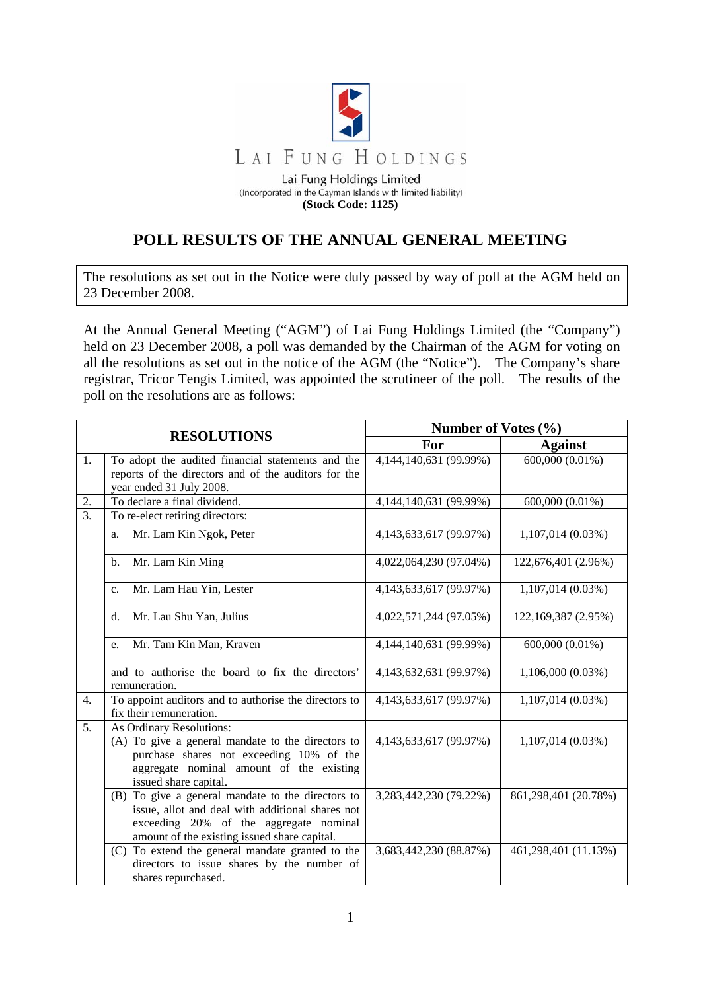

**(Stock Code: 1125)** 

## **POLL RESULTS OF THE ANNUAL GENERAL MEETING**

The resolutions as set out in the Notice were duly passed by way of poll at the AGM held on 23 December 2008.

At the Annual General Meeting ("AGM") of Lai Fung Holdings Limited (the "Company") held on 23 December 2008, a poll was demanded by the Chairman of the AGM for voting on all the resolutions as set out in the notice of the AGM (the "Notice"). The Company's share registrar, Tricor Tengis Limited, was appointed the scrutineer of the poll. The results of the poll on the resolutions are as follows:

| <b>RESOLUTIONS</b> |                                                                                                                                                                                                 | Number of Votes (%)        |                              |
|--------------------|-------------------------------------------------------------------------------------------------------------------------------------------------------------------------------------------------|----------------------------|------------------------------|
|                    |                                                                                                                                                                                                 | For                        | <b>Against</b>               |
| 1.                 | To adopt the audited financial statements and the<br>reports of the directors and of the auditors for the<br>year ended 31 July 2008.                                                           | 4,144,140,631 (99.99%)     | $\overline{600,000}$ (0.01%) |
| 2.                 | To declare a final dividend.                                                                                                                                                                    | 4, 144, 140, 631 (99. 99%) | 600,000 (0.01%)              |
| 3.                 | To re-elect retiring directors:                                                                                                                                                                 |                            |                              |
|                    | Mr. Lam Kin Ngok, Peter<br>a.                                                                                                                                                                   | 4,143,633,617 (99.97%)     | 1,107,014(0.03%)             |
|                    | Mr. Lam Kin Ming<br>b.                                                                                                                                                                          | 4,022,064,230 (97.04%)     | 122,676,401 (2.96%)          |
|                    | Mr. Lam Hau Yin, Lester<br>C <sub>1</sub>                                                                                                                                                       | 4,143,633,617 (99.97%)     | $1,107,014(0.03\%)$          |
|                    | Mr. Lau Shu Yan, Julius<br>$\mathbf{d}$ .                                                                                                                                                       | 4,022,571,244 (97.05%)     | 122,169,387 (2.95%)          |
|                    | Mr. Tam Kin Man, Kraven<br>e.                                                                                                                                                                   | 4,144,140,631 (99.99%)     | 600,000 (0.01%)              |
|                    | and to authorise the board to fix the directors'<br>remuneration.                                                                                                                               | 4,143,632,631 (99.97%)     | $1,106,000(0.03\%)$          |
| $\overline{4}$ .   | To appoint auditors and to authorise the directors to<br>fix their remuneration.                                                                                                                | 4,143,633,617 (99.97%)     | 1,107,014 (0.03%)            |
| 5.                 | As Ordinary Resolutions:<br>(A) To give a general mandate to the directors to<br>purchase shares not exceeding 10% of the<br>aggregate nominal amount of the existing<br>issued share capital.  | 4,143,633,617 (99.97%)     | $1,107,014(0.03\%)$          |
|                    | (B) To give a general mandate to the directors to<br>issue, allot and deal with additional shares not<br>exceeding 20% of the aggregate nominal<br>amount of the existing issued share capital. | 3,283,442,230 (79.22%)     | 861,298,401 (20.78%)         |
|                    | (C) To extend the general mandate granted to the<br>directors to issue shares by the number of<br>shares repurchased.                                                                           | 3,683,442,230 (88.87%)     | 461,298,401 (11.13%)         |